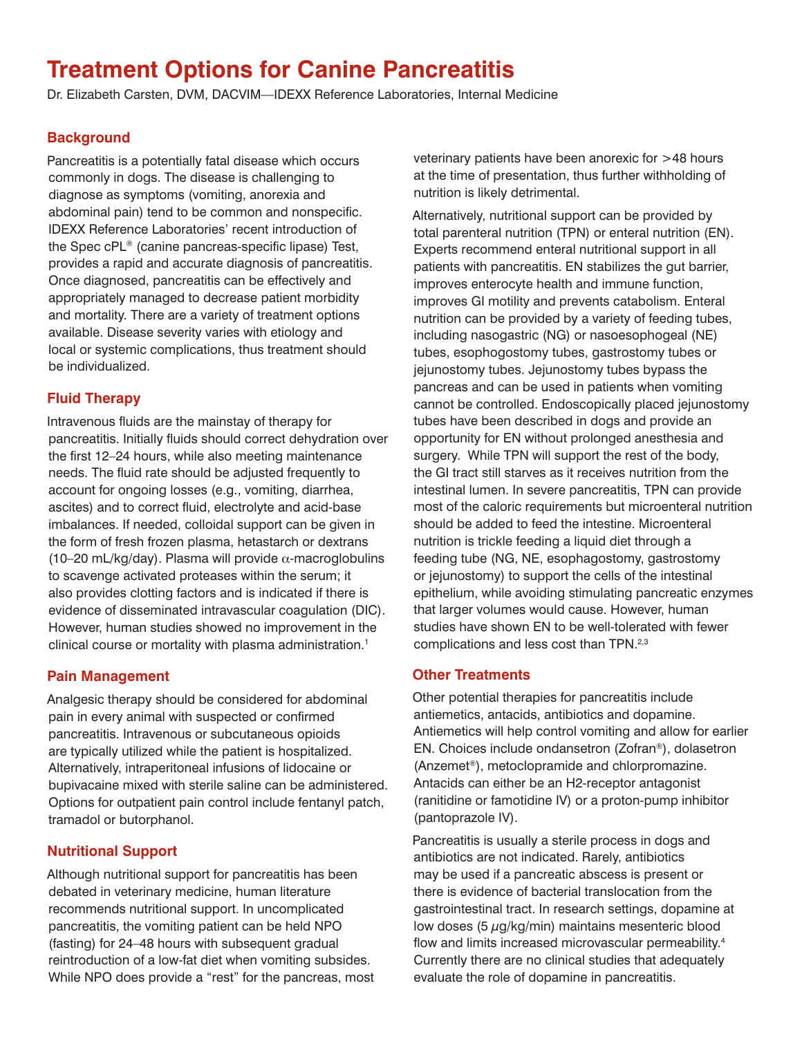# **Treatment Options for Canine Pancreatitis**

Dr. Elizabeth Carsten, DVM, DACVIM—IDEXX Reference Laboratories, Internal Medicine

# **Background**

Pancreatitis is a potentially fatal disease which occurs commonly in dogs. The disease is challenging to diagnose as symptoms (vomiting, anorexia and abdominal pain) tend to be common and nonspecific. IDEXX Reference Laboratories' recent introduction of the Spec cPL® (canine pancreas-specific lipase) Test, provides a rapid and accurate diagnosis of pancreatitis. Once diagnosed, pancreatitis can be effectively and appropriately managed to decrease patient morbidity and mortality. There are a variety of treatment options available. Disease severity varies with etiology and local or systemic complications, thus treatment should be individualized.

# **Fluid Therapy**

Intravenous fluids are the mainstay of therapy for pancreatitis. Initially fluids should correct dehydration over the first 12–24 hours, while also meeting maintenance needs. The fluid rate should be adjusted frequently to account for ongoing losses (e.g., vomiting, diarrhea, ascites) and to correct fluid, electrolyte and acid-base imbalances. If needed, colloidal support can be given in the form of fresh frozen plasma, hetastarch or dextrans (10–20 mL/kg/day). Plasma will provide  $\alpha$ -macroglobulins to scavenge activated proteases within the serum; it also provides clotting factors and is indicated if there is evidence of disseminated intravascular coagulation (DIC). However, human studies showed no improvement in the clinical course or mortality with plasma administration.<sup>1</sup>

## **Pain Management**

Analgesic therapy should be considered for abdominal pain in every animal with suspected or confirmed pancreatitis. Intravenous or subcutaneous opioids are typically utilized while the patient is hospitalized. Alternatively, intraperitoneal infusions of lidocaine or bupivacaine mixed with sterile saline can be administered. Options for outpatient pain control include fentanyl patch, tramadol or butorphanol.

# **Nutritional Support**

Although nutritional support for pancreatitis has been debated in veterinary medicine, human literature recommends nutritional support. In uncomplicated pancreatitis, the vomiting patient can be held NPO (fasting) for 24–48 hours with subsequent gradual reintroduction of a low-fat diet when vomiting subsides. While NPO does provide a "rest" for the pancreas, most veterinary patients have been anorexic for >48 hours at the time of presentation, thus further withholding of nutrition is likely detrimental.

Alternatively, nutritional support can be provided by total parenteral nutrition (TPN) or enteral nutrition (EN). Experts recommend enteral nutritional support in all patients with pancreatitis. EN stabilizes the gut barrier, improves enterocyte health and immune function, improves GI motility and prevents catabolism. Enteral nutrition can be provided by a variety of feeding tubes, including nasogastric (NG) or nasoesophogeal (NE) tubes, esophogostomy tubes, gastrostomy tubes or jejunostomy tubes. Jejunostomy tubes bypass the pancreas and can be used in patients when vomiting cannot be controlled. Endoscopically placed jejunostomy tubes have been described in dogs and provide an opportunity for EN without prolonged anesthesia and surgery. While TPN will support the rest of the body, the GI tract still starves as it receives nutrition from the intestinal lumen. In severe pancreatitis, TPN can provide most of the caloric requirements but microenteral nutrition should be added to feed the intestine. Microenteral nutrition is trickle feeding a liquid diet through a feeding tube (NG, NE, esophagostomy, gastrostomy or jejunostomy) to support the cells of the intestinal epithelium, while avoiding stimulating pancreatic enzymes that larger volumes would cause. However, human studies have shown EN to be well-tolerated with fewer complications and less cost than TPN.<sup>2,3</sup>

## **Other Treatments**

Other potential therapies for pancreatitis include antiemetics, antacids, antibiotics and dopamine. Antiemetics will help control vomiting and allow for earlier EN. Choices include ondansetron (Zofran®), dolasetron (Anzemet®), metoclopramide and chlorpromazine. Antacids can either be an H2-receptor antagonist (ranitidine or famotidine IV) or a proton-pump inhibitor (pantoprazole IV).

Pancreatitis is usually a sterile process in dogs and antibiotics are not indicated. Rarely, antibiotics may be used if a pancreatic abscess is present or there is evidence of bacterial translocation from the gastrointestinal tract. In research settings, dopamine at low doses (5 μg/kg/min) maintains mesenteric blood flow and limits increased microvascular permeability.<sup>4</sup> Currently there are no clinical studies that adequately evaluate the role of dopamine in pancreatitis.